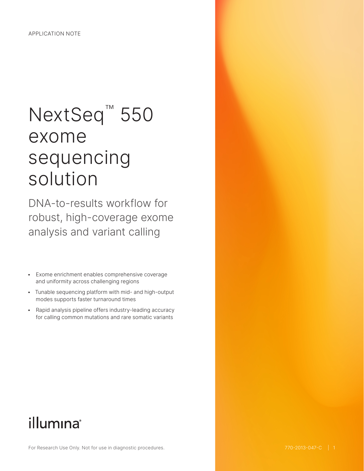# NextSeq<sup>™</sup> 550 exome sequencing solution

DNA-to-results workflow for robust, high-coverage exome analysis and variant calling

- Exome enrichment enables comprehensive coverage and uniformity across challenging regions
- Tunable sequencing platform with mid- and high-output modes supports faster turnaround times
- Rapid analysis pipeline offers industry-leading accuracy for calling common mutations and rare somatic variants

## illumina®

For Research Use Only. Not for use in diagnostic procedures.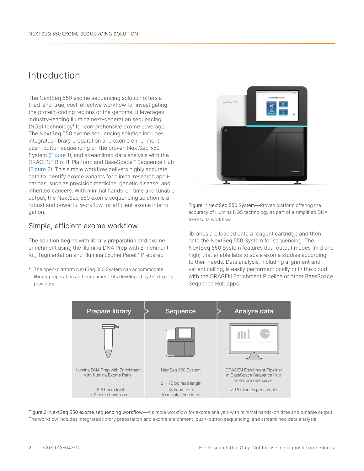## Introduction

The NextSeq 550 exome sequencing solution offers a tried-and-true, cost-effective workflow for investigating the protein-coding regions of the genome. It leverages industry-leading Illumina next-generation sequencing (NGS) technology[1](#page-4-0) for comprehensive exome coverage. The NextSeq 550 exome sequencing solution includes integrated library preparation and exome enrichment, push-button sequencing on the proven NextSeq 550 System (Figure 1), and streamlined data analysis with the DRAGEN™ Bio-IT Platform and BaseSpace™ Sequence Hub (Figure 2). This simple workflow delivers highly accurate data to identify exome variants for clinical research applications, such as precision medicine, genetic disease, and inherited cancers. With minimal hands-on time and tunable output, the NextSeq 550 exome sequencing solution is a robust and powerful workflow for efficient exome interrogation.

#### Simple, efficient exome workflow

The solution begins with library preparation and exome enrichment using the Illumina DNA Prep with Enrichment Kit, Tagmentation and Illumina Exome Panel.\* Prepared

\* The open-platform NextSeq 550 System can accommodate library preparation and enrichment kits developed by third-party providers.



Figure 1: NextSeq 550 System—Proven platform offering the accuracy of Illumina NGS technology as part of a simplified DNAto-results workflow.

libraries are loaded onto a reagent cartridge and then onto the NextSeq 550 System for sequencing. The NextSeq 550 System features dual output modes (mid and high) that enable labs to scale exome studies according to their needs. Data analysis, including alignment and variant calling, is easily performed locally or in the cloud with the DRAGEN Enrichment Pipeline or other BaseSpace Sequence Hub apps.



Figure 2: NextSeq 550 exome sequencing workflow—A simple workflow for exome analysis with minimal hands-on time and tunable output. The workflow includes integrated library preparation and exome enrichment, push-button sequencing, and streamlined data analysis.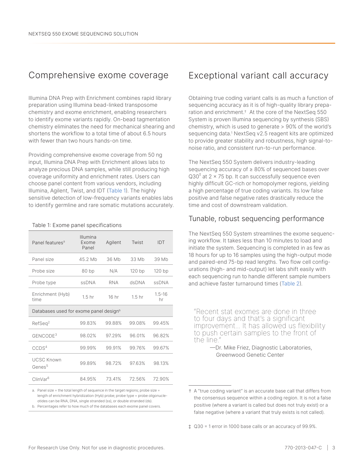## Comprehensive exome coverage

Illumina DNA Prep with Enrichment combines rapid library preparation using Illumina bead-linked transposome chemistry and exome enrichment, enabling researchers to identify exome variants rapidly. On-bead tagmentation chemistry eliminates the need for mechanical shearing and shortens the workflow to a total time of about 6.5 hours with fewer than two hours hands-on time.

Providing comprehensive exome coverage from 50 ng input, Illumina DNA Prep with Enrichment allows labs to analyze precious DNA samples, while still producing high coverage uniformity and enrichment rates. Users can choose panel content from various vendors, including Illumina, Agilent, Twist, and IDT (Table 1). The highly sensitive detection of low-frequency variants enables labs to identify germline and rare somatic mutations accurately.

Table 1: Exome panel specifications

| Panel features <sup>a</sup>                        | Illumina<br>Exome<br>Panel | Agilent    |        | IDT              |  |  |  |  |
|----------------------------------------------------|----------------------------|------------|--------|------------------|--|--|--|--|
| Panel size                                         | 45.2 Mb                    | 36 Mb      | 33 Mb  | 39 Mb            |  |  |  |  |
| Probe size                                         | 80 bp                      | N/A        | 120 bp | 120bp            |  |  |  |  |
| Probe type                                         | <b>ssDNA</b>               | <b>RNA</b> | dsDNA  | ssDNA            |  |  |  |  |
| Enrichment (Hyb)<br>time                           | 1.5 <sub>hr</sub>          | 16 hr      |        | $1.5 - 16$<br>hr |  |  |  |  |
| Databases used for exome panel design <sup>b</sup> |                            |            |        |                  |  |  |  |  |
| RefSeq <sup>2</sup>                                | 99.83%                     | 99.88%     | 99.08% | 99 45%           |  |  |  |  |
| GENCODE <sup>3</sup>                               | 98.02%                     | 97.29%     | 96.01% | 96.82%           |  |  |  |  |
| CCDS <sup>4</sup>                                  | 99.99%                     | 99.91%     | 99.76% | 99.67%           |  |  |  |  |
| <b>UCSC Known</b><br>Genes <sup>5</sup>            | 99.89%                     | 98.72%     | 97.63% | 98.13%           |  |  |  |  |
| ClinVar <sup>6</sup>                               | 84.95%                     | 73.41%     | 72.56% | 72.90%           |  |  |  |  |

a. Panel size = the total length of sequence in the target regions; probe size = length of enrichment hybridization (Hyb) probe; probe type = probe oligonucleotides can be RNA, DNA, single stranded (ss), or double stranded (ds).

## Exceptional variant call accuracy

Obtaining true coding variant calls is as much a function of sequencing accuracy as it is of high-quality library preparation and enrichment.† At the core of the NextSeq 550 System is proven Illumina sequencing by synthesis (SBS) chemistry, which is used to generate > 90% of the world's sequencing data[.1](#page-4-0) NextSeq v2.5 reagent kits are optimized to provide greater stability and robustness, high signal-tonoise ratio, and consistent run-to-run performance.

The NextSeq 550 System delivers industry-leading sequencing accuracy of ≥ 80% of sequenced bases over Q30<sup>‡</sup> at 2 × 75 bp. It can successfully sequence even highly difficult GC-rich or homopolymer regions, yielding a high percentage of true coding variants. Its low false positive and false negative rates drastically reduce the time and cost of downstream validation.

#### Tunable, robust sequencing performance

The NextSeq 550 System streamlines the exome sequencing workflow. It takes less than 10 minutes to load and initiate the system. Sequencing is completed in as few as 18 hours for up to 16 samples using the high-output mode and paired-end 75-bp read lengths. Two flow cell configurations (high- and mid-output) let labs shift easily with each sequencing run to handle different sample numbers and achieve faster turnaround times ([Table](#page-3-0) 2).

"Recent stat exomes are done in three to four days and that's a significant improvement... It has allowed us flexibility to push certain samples to the front of the line."

> —Dr. Mike Friez, Diagnostic Laboratories, Greenwood Genetic Center

b. Percentages refer to how much of the databases each exome panel covers.

<sup>†</sup> A "true coding variant" is an accurate base call that differs from the consensus sequence within a coding region. It is not a false positive (where a variant is called but does not truly exist) or a false negative (where a variant that truly exists is not called).

<sup>‡</sup> Q30 = 1 error in 1000 base calls or an accuracy of 99.9%.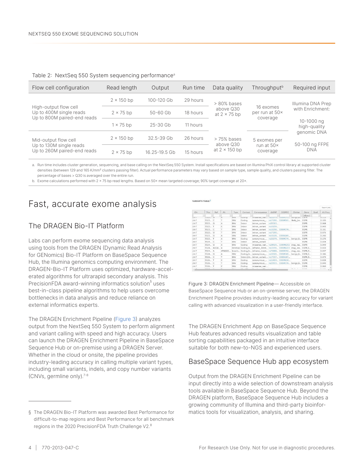| Flow cell configuration                                                         | Read length       | Output        | Run time | Data quality                      | Throughput <sup>b</sup>       | Required input                                                      |  |
|---------------------------------------------------------------------------------|-------------------|---------------|----------|-----------------------------------|-------------------------------|---------------------------------------------------------------------|--|
|                                                                                 | $2 \times 150$ bp | 100-120 Gb    | 29 hours | $> 80\%$ bases                    |                               | Illumina DNA Prep<br>with Enrichment:<br>10-1000 ng<br>high-quality |  |
| High-output flow cell<br>Up to 400M single reads<br>Up to 800M paired-end reads | $2 \times 75$ bp  | $50 - 60$ Gb  | 18 hours | above Q30<br>at $2 \times 75$ bp  | 16 exomes<br>per run at 50×   |                                                                     |  |
|                                                                                 | $1 \times 75$ bp  | $25 - 30$ Gb  | 11 hours |                                   | coverage                      |                                                                     |  |
| Mid-output flow cell                                                            | $2 \times 150$ bp | 32.5-39 Gb    | 26 hours | $>75%$ bases                      | 5 exomes per                  | genomic DNA                                                         |  |
| Up to 130M single reads<br>Up to 260M paired-end reads                          | $2 \times 75$ bp  | 16.25-19.5 Gb | 15 hours | above Q30<br>at $2 \times 150$ bp | run at $50\times$<br>coverage | 50-100 ng FFPE<br><b>DNA</b>                                        |  |

<span id="page-3-0"></span>

|  |  |  |  | Table 2: NextSeq 550 System sequencing performance <sup>a</sup> |
|--|--|--|--|-----------------------------------------------------------------|
|--|--|--|--|-----------------------------------------------------------------|

a. Run time includes cluster generation, sequencing, and base calling on the NextSeq 550 System. Install specifications are based on Illumina PhiX control library at supported cluster densities (between 129 and 165 K/mm² clusters passing filter). Actual performance parameters may vary based on sample type, sample quality, and clusters passing filter. The percentage of bases > Q30 is averaged over the entire run.

VADIANTS TABLE

b. Exome calculations performed with 2 × 75 bp read lengths. Based on 50× mean targeted coverage; 90% target coverage at 20×.

## Fast, accurate exome analysis

#### The DRAGEN Bio-IT Platform

Labs can perform exome sequencing data analysis using tools from the DRAGEN (Dynamic Read Analysis for GENomics) Bio-IT Platform on BaseSpace Sequence Hub, the Illumina genomics computing environment. The DRAGEN-Bio-IT Platform uses optimized, hardware-accelerated algorithms for ultrarapid secondary analysis. This PrecisionFDA award-winning informatics solution<sup>§</sup> uses best-in-class pipeline algorithms to help users overcome bottlenecks in data analysis and reduce reliance on external informatics experts.

The DRAGEN Enrichment Pipeline (Figure 3) analyzes output from the NextSeq 550 System to perform alignment and variant calling with speed and high accuracy. Users can launch the DRAGEN Enrichment Pipeline in BaseSpace Sequence Hub or on-premise using a DRAGEN Server. Whether in the cloud or onsite, the pipeline provides industry-leading accuracy in calling multiple variant types, including small variants, indels, and copy number variants (CNVs, germline only).[7](#page-4-6)-[8](#page-4-7)

|                   |                 |             |        |             |         |                                                            |          |                   |              |                        |      | Export (.txt) |
|-------------------|-----------------|-------------|--------|-------------|---------|------------------------------------------------------------|----------|-------------------|--------------|------------------------|------|---------------|
| Chr               | Pos             | Ref         | Alt    | <b>Type</b> | Context | Consequence                                                | dbSNP    | COSMIC            | ClinVar      | Gene                   | Oual | Alt Freq      |
| CITT <sub>7</sub> | $U = JJEL$      |             | я      | <b>SIVV</b> | County  | ITHSSEITSE_Vall., 1522279., COSPIJ72., Denign, It.,        |          |                   |              | <b>fobiect</b><br>LUIR |      | 0.11J         |
| chr7              | 5523 C          |             |        | SNV         | Coding  | synonymous  rs17290 COSM501 likely_be EGFR                 |          |                   |              |                        |      | 0.105         |
| chr7              | 5523 G          |             | A      | SNV         | Intron  | intron_variant                                             | rs55393. |                   |              | EGFR                   |      | 0.068         |
| chr7              | 5523 T          |             | C      | SNV         | Intron  | intron_variant                                             | rs10259  |                   |              | EGFR                   |      | 0.045         |
| chr7              | 5523. C         |             |        | SNV         | Intron  | intron variant                                             |          | rs10258 COSM376   |              | EGFR                   |      | 0.101         |
| chr7              | 5523 G          |             |        | SNV         | Intron  | intron_variant                                             | rs17290  |                   |              | EGFR                   |      | 0.076         |
| chr7              | 5523 G          |             | Α      | SNV         | Intron  | intron variant                                             |          | rs10228. COSN269. |              | EGFR                   |      | 0.242         |
| chr7              | 5523 T          |             | A      | SNV         | Coding  | synonymous_ rs22279 COSM376 benign,li                      |          |                   |              | EGFR                   |      | 0.276         |
| chr7              | 5524 C          |             |        | SNV         | Intron  | intron_variant                                             |          |                   |              | EGFR                   |      | 0.034         |
| chr7              | 5524 G          |             | A      | SNV         | Coding  | missense_vari rs28929 COSM6252 drug_res EGFR               |          |                   |              |                        |      | 0.049         |
| chr7              |                 | 5524 AGGA A |        | Deletion    |         | Coding, In inframe_deleti rs12191 COSM6223 drug_res EGFR,E |          |                   |              |                        |      | 0.033         |
| chr7              | 5524 A          |             | ATGGCC | Inserti     |         | Coding,In inframe_insert rs73088 COSM392 drug_res EGFR,E   |          |                   |              |                        |      | 0.037         |
| chr7              | $5524$ G        |             | A      | SNV         |         | Coding, In synonymous_ rs10501 COSM145 benign, li EGFR, E  |          |                   |              |                        |      | 0.346         |
| chr7              | 5526 C          |             | т      | SNV         |         | Intron, Int intron_variant, rs17337 COSN107                |          |                   |              | EGFR,E                 |      | 0.073         |
| chr7              | 5526 T          |             | c      | SNV         | Coding  | synonymous  rs11404 COSM650                                |          |                   |              | EGFR                   |      | 0.838         |
| chr7              | 5526 C          |             | т      | SNV         | Coding  | synonymous  rs22933 COSM376 benian.li EGFR                 |          |                   |              |                        |      | 0.040         |
| chr7              | SS26., T        |             | c      | SNV         | Coding  | missense_vari                                              |          |                   |              | EGFR                   |      | 0.060         |
| $1 - 10$          | <b>M.M.A.M.</b> |             |        |             |         | A 1991 10                                                  |          |                   | $1.11 - 1.1$ | ---                    |      | 8.18.8.8      |

Figure 3: DRAGEN Enrichment Pipeline— Accessible on BaseSpace Sequence Hub or an on-premise server, the DRAGEN Enrichment Pipeline provides industry-leading accuracy for variant calling with advanced visualization in a user-friendly interface.

The DRAGEN Enrichment App on BaseSpace Sequence Hub features advanced results visualization and table sorting capabilities packaged in an intuitive interface suitable for both new-to-NGS and experienced users.

#### BaseSpace Sequence Hub app ecosystem

Output from the DRAGEN Enrichment Pipeline can be input directly into a wide selection of downstream analysis tools available in BaseSpace Sequence Hub. Beyond the DRAGEN platform, BaseSpace Sequence Hub includes a growing community of Illumina and third-party bioinformatics tools for visualization, analysis, and sharing.

<sup>§</sup> The DRAGEN Bio-IT Platform was awarded Best Performance for difficult-to-map regions and Best Performance for all benchmark regions in the 2020 PrecisionFDA Truth Challenge V2.[8](#page-4-7)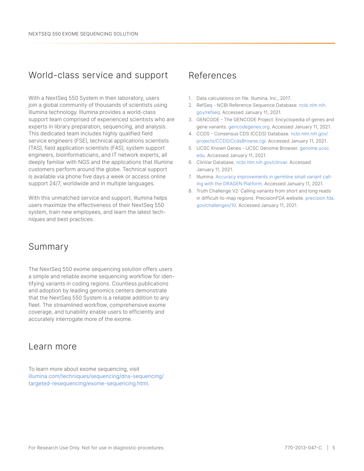## World-class service and support

With a NextSeq 550 System in their laboratory, users join a global community of thousands of scientists using Illumina technology. Illumina provides a world-class support team comprised of experienced scientists who are experts in library preparation, sequencing, and analysis. This dedicated team includes highly qualified field service engineers (FSE), technical applications scientists (TAS), field application scientists (FAS), system support engineers, bioinformaticians, and IT network experts, all deeply familiar with NGS and the applications that Illumina customers perform around the globe. Technical support is available via phone five days a week or access online support 24/7, worldwide and in multiple languages.

With this unmatched service and support, Illumina helps users maximize the effectiveness of their NextSeq 550 system, train new employees, and learn the latest techniques and best practices.

## Summary

The NextSeq 550 exome sequencing solution offers users a simple and reliable exome sequencing workflow for identifying variants in coding regions. Countless publications and adoption by leading genomics centers demonstrate that the NextSeq 550 System is a reliable addition to any fleet. The streamlined workflow, comprehensive exome coverage, and tunability enable users to efficiently and accurately interrogate more of the exome.

### Learn more

To learn more about exome sequencing, visit [illumina.com/techniques/sequencing/dna-sequencing/](http://www.illumina.com/techniques/sequencing/dna-sequencing/targeted-resequencing/exome-sequencing.html) [targeted-resequencing/exome-sequencing.html](http://www.illumina.com/techniques/sequencing/dna-sequencing/targeted-resequencing/exome-sequencing.html).

### References

- <span id="page-4-0"></span>1. Data calculations on file. Illumina, Inc., 2017.
- <span id="page-4-1"></span>2. RefSeq - NCBI Reference Sequence Database. [ncbi.nlm.nih.](https://www.ncbi.nlm.nih.gov/refseq/) [gov/refseq](https://www.ncbi.nlm.nih.gov/refseq/). Accessed January 11, 2021.
- <span id="page-4-2"></span>3. GENCODE - The GENCODE Project: Encyclopedia of genes and gene variants. [gencodegenes.org](https://www.gencodegenes.org/). Accessed January 11, 2021.
- <span id="page-4-3"></span>4. CCDS - Consensus CDS (CCDS) Database. [ncbi.nlm.nih.gov/](https://www.ncbi.nlm.nih.gov/projects/CCDS/CcdsBrowse.cgi) [projects/CCDS/CcdsBrowse.cgi](https://www.ncbi.nlm.nih.gov/projects/CCDS/CcdsBrowse.cgi). Accessed January 11, 2021.
- <span id="page-4-4"></span>5. UCSC Known Genes - UCSC Genome Browser. [genome.ucsc.](http://genome.ucsc.edu/) [edu](http://genome.ucsc.edu/). Accessed January 11, 2021.
- <span id="page-4-5"></span>6. ClinVar Database. [ncbi.nlm.nih.gov/clinvar](https://www.ncbi.nlm.nih.gov/clinvar/). Accessed January 11, 2021.
- <span id="page-4-6"></span>7. Illumina. [Accuracy improvements in germline small variant call](https://science-docs.illumina.com/documents/Informatics/dragen-v3-accuracy-appnote-html-970-2019-006/Content/Source/Informatics/Dragen/dragen-v3-accuracy-appnote-970-2019-006/dragen-v3-accuracy-appnote-970-2019-006.html)[ing with the DRAGEN Platform](https://science-docs.illumina.com/documents/Informatics/dragen-v3-accuracy-appnote-html-970-2019-006/Content/Source/Informatics/Dragen/dragen-v3-accuracy-appnote-970-2019-006/dragen-v3-accuracy-appnote-970-2019-006.html). Accessed January 11, 2021.
- <span id="page-4-7"></span>8. Truth Challenge V2: Calling variants from short and long reads in difficult-to-map regions. PrecisionFDA website. [precision.fda.](https://precision.fda.gov/challenges/10/view/results) [gov/challenges/10](https://precision.fda.gov/challenges/10/view/results). Accessed January 11, 2021.